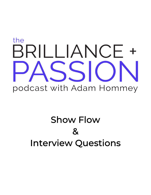# the BRILLIANCE + ISSI podcast with Adam Hommey

## Show Flow  $\mathbf 8$ Interview Questions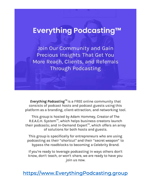### Everything Podcasting™

Join Our Community and Gain **Precious Insights That Get You** More Reach, Clients, and Referrals **Through Podcasting** 

Everything Podcasting<sup>™</sup> is a FREE online community that consists of podcast hosts and podcast guests using this platform as a branding, client-attraction, and networking tool.

This group is hosted by Adam Hommey, Creator of The R.E.A.C.H. System<sup>™</sup>, which helps business creators launch their podcasts; and In-Demand Expert™, which offers an array of solutions for both hosts and guests.

This group is specifically for entrepreneurs who are using podcasting as their "shortcut" and their "secret weapon" to bypass the roadblocks to becoming a Celebrity Brand.

If you're ready to leverage podcasting in ways others don't know, don't teach, or won't share, we are ready to have you join us now.

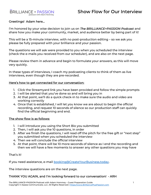#### Show Flow for Our Interview

#### **BRILLIANCE + PASSION** podcast with Adam Hommey

#### Greetings! Adam here…

I'm honored by your wise decision to join us on The BRILLIANCE+PASSION Podcast and share how you make your community, market, and audience better by being part of it!

This will be a 15-minute interview, with no post-production editing – so we ask you please be fully prepared with your brilliance and your passion.

The questions we will ask were provided to you when you scheduled the interview (check the e-mails you received from our scheduler), and are also on the next page.

Please review them in advance and begin to formulate your answers, as this will move very quickly.

In these types of interviews, I coach my podcasting clients to think of them as live interviews, even though they are pre-recorded.

#### Here's how to get connected for our conversation:

- 1. Click the Streamyard link you have been provided and follow the simple prompts
- 2. I will be alerted that you've done so and will bring you in
- 3. At that point, we'll do a quick check-in to make sure the audio and video are working correctly
- 4. Once that is established, I will let you know we are about to begin the official recording, and request 10 seconds of silence so our production staff can quickly find the official beginning and end.

#### The show flow is as follows:

- 1. I will introduce you using the Short Bio you submitted
- 2. Then, I will ask you the 10 questions, in order
- 3. After we finish the questions, I will read off the pitch for the free gift or "next step" you submitted when you scheduled the interview
- 4. Then we will conclude the official interview
- 5. At that point, there will be 10 more seconds of silence as I end the recording and then we will have a few moments to answer any other questions you may have

That's it!

If you need assistance, e-mail **booking@CreateYourBusiness.today**.

The interview questions are on the next page.

#### THANK YOU AGAIN, and I'm looking forward to our conversation! - ARH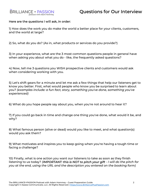

#### Questions for Our Interview

#### Here are the questions I will ask, in order:

1) How does the work you do make the world a better place for your clients, customers, and the world at large?

2) So, what do you do? (As in, what products or services do you provide?)

3) In your experience, what are the 3 most common questions people in general have when asking you about what you do - like, the frequently asked questions?

4) Now, tell me 3 questions you WISH prospective clients and customers would ask when considering working with you.

5) Let's shift gears for a minute and let me ask a few things that help our listeners get to know you better. First, what would people who know you be surprised to learn about you? (examples include: a fun fact, story, something you've done, something you've experienced)

6) What do you hope people say about you, when you're not around to hear it?

7) If you could go back in time and change one thing you've done, what would it be, and why?

8) What famous person (alive or dead) would you like to meet, and what question(s) would you ask them?

9) What motivates and inspires you to keep going when you're having a tough time or facing a challenge?

10) Finally, what is one action you want our listeners to take as soon as they finish listening to us today? (IMPORTANT: this is NOT to pitch your gift - I will do the pitch for you at the end, using the URL and the description you entered on the booking form)